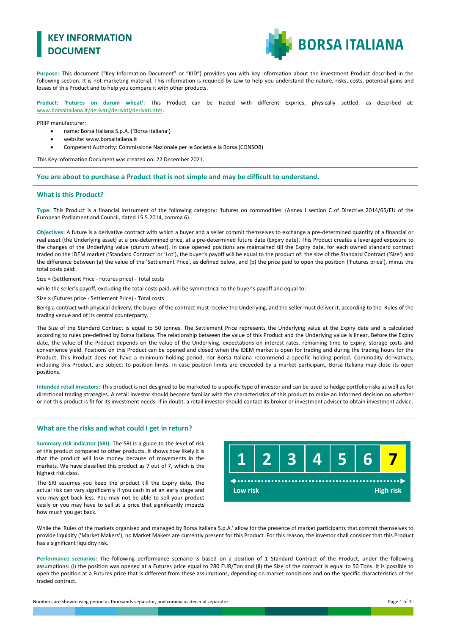# **KEY INFORMATION DOCUMENT**



**Purpose:** This document ("Key Information Document" or "KID") provides you with key information about the investment Product described in the following section. It is not marketing material. This information is required by Law to help you understand the nature, risks, costs, potential gains and losses of this Product and to help you compare it with other products.

**Product: 'Futures on durum wheat':** This Product can be traded with different Expiries, physically settled, as described at: [www.borsaitaliana.it/derivati/derivati/derivati.htm.](http://www.borsaitaliana.it/derivati/derivati/derivati.htm)

PRIIP manufacturer:

- name: Borsa Italiana S.p.A. ('Borsa Italiana')
- website: www.borsaitaliana.it
- Competent Authority: Commissione Nazionale per le Società e la Borsa (CONSOB)

This Key Information Document was created on: 22 December 2021.

**You are about to purchase a Product that is not simple and may be difficult to understand.**

#### **What is this Product?**

**Type:** This Product is a financial instrument of the following category: 'futures on commodities' (Annex I section C of Directive 2014/65/EU of the European Parliament and Council, dated 15.5.2014, comma 6).

**Objectives:** A future is a derivative contract with which a buyer and a seller commit themselves to exchange a pre-determined quantity of a financial or real asset (the Underlying asset) at a pre-determined price, at a pre-determined future date (Expiry date). This Product creates a leveraged exposure to the changes of the Underlying value (durum wheat). In case opened positions are maintained till the Expiry date, for each owned standard contract traded on the IDEM market ('Standard Contract' or 'Lot'), the buyer's payoff will be equal to the product of: the size of the Standard Contract ('Size') and the difference between (a) the value of the 'Settlement Price', as defined below, and (b) the price paid to open the position ('Futures price'), minus the total costs paid:

Size × (Settlement Price - Futures price) - Total costs

while the seller's payoff, excluding the total costs paid, will be symmetrical to the buyer's payoff and equal to:

Size × (Futures price - Settlement Price) - Total costs

Being a contract with physical delivery, the buyer of the contract must receive the Underlying, and the seller must deliver it, according to the Rules of the trading venue and of its central counterparty.

The Size of the Standard Contract is equal to 50 tonnes. The Settlement Price represents the Underlying value at the Expiry date and is calculated according to rules pre-defined by Borsa Italiana. The relationship between the value of this Product and the Underlying value is linear. Before the Expiry date, the value of the Product depends on the value of the Underlying, expectations on interest rates, remaining time to Expiry, storage costs and convenience yield. Positions on this Product can be opened and closed when the IDEM market is open for trading and during the trading hours for the Product. This Product does not have a minimum holding period, nor Borsa Italiana recommend a specific holding period. Commodity derivatives, including this Product, are subject to position limits. In case position limits are exceeded by a market participant, Borsa Italiana may close its open positions.

**Intended retail investors:** This product is not designed to be marketed to a specific type of investor and can be used to hedge portfolio risks as well as for directional trading strategies. A retail investor should become familiar with the characteristics of this product to make an informed decision on whether or not this product is fit for its investment needs. If in doubt, a retail investor should contact its broker or investment adviser to obtain investment advice.

#### **What are the risks and what could I get in return?**

**Summary risk indicator (SRI):** The SRI is a guide to the level of risk of this product compared to other products. It shows how likely it is that the product will lose money because of movements in the markets. We have classified this product as 7 out of 7, which is the highest risk class.

The SRI assumes you keep the product till the Expiry date. The actual risk can vary significantly if you cash in at an early stage and you may get back less. You may not be able to sell your product easily or you may have to sell at a price that significantly impacts how much you get back.



While the 'Rules of the markets organised and managed by Borsa Italiana S.p.A.' allow for the presence of market participants that commit themselves to provide liquidity ('Market Makers'), no Market Makers are currently present for this Product. For this reason, the investor shall consider that this Product has a significant liquidity risk.

**Performance scenarios:** The following performance scenario is based on a position of 1 Standard Contract of the Product, under the following assumptions: (i) the position was opened at a Futures price equal to 280 EUR/Ton and (ii) the Size of the contract is equal to 50 Tons. It is possible to open the position at a Futures price that is different from these assumptions, depending on market conditions and on the specific characteristics of the traded contract.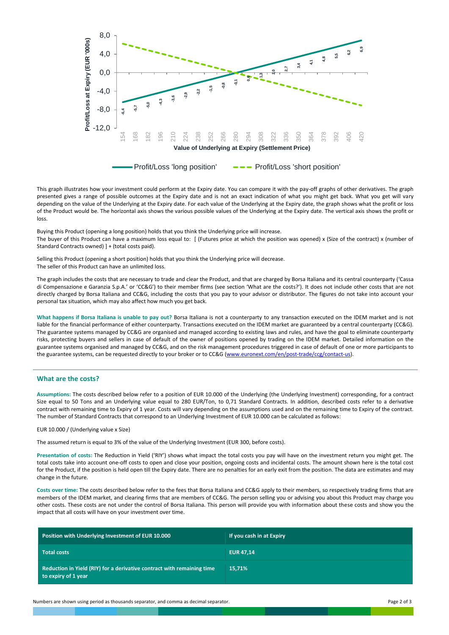

This graph illustrates how your investment could perform at the Expiry date. You can compare it with the pay-off graphs of other derivatives. The graph presented gives a range of possible outcomes at the Expiry date and is not an exact indication of what you might get back. What you get will vary depending on the value of the Underlying at the Expiry date. For each value of the Underlying at the Expiry date, the graph shows what the profit or loss of the Product would be. The horizontal axis shows the various possible values of the Underlying at the Expiry date. The vertical axis shows the profit or loss.

Buying this Product (opening a long position) holds that you think the Underlying price will increase. The buyer of this Product can have a maximum loss equal to: [ (Futures price at which the position was opened) x (Size of the contract) x (number of Standard Contracts owned) ] + (total costs paid).

Selling this Product (opening a short position) holds that you think the Underlying price will decrease. The seller of this Product can have an unlimited loss.

The graph includes the costs that are necessary to trade and clear the Product, and that are charged by Borsa Italiana and its central counterparty ('Cassa di Compensazione e Garanzia S.p.A.' or 'CC&G') to their member firms (see section 'What are the costs?'). It does not include other costs that are not directly charged by Borsa Italiana and CC&G, including the costs that you pay to your advisor or distributor. The figures do not take into account your personal tax situation, which may also affect how much you get back.

**What happens if Borsa Italiana is unable to pay out?** Borsa Italiana is not a counterparty to any transaction executed on the IDEM market and is not liable for the financial performance of either counterparty. Transactions executed on the IDEM market are guaranteed by a central counterparty (CC&G). The guarantee systems managed by CC&G are organised and managed according to existing laws and rules, and have the goal to eliminate counterparty risks, protecting buyers and sellers in case of default of the owner of positions opened by trading on the IDEM market. Detailed information on the guarantee systems organised and managed by CC&G, and on the risk management procedures triggered in case of default of one or more participants to the guarantee systems, can be requested directly to your broker or to CC&G [\(www.euronext.com/en/post-trade/ccg/contact-us\)](http://www.lseg.com/markets-products-and-services/post-trade-services/ccp-services/ccg/about-ccg-spa/contact-ccg).

### **What are the costs?**

**Assumptions:** The costs described below refer to a position of EUR 10.000 of the Underlying (the Underlying Investment) corresponding, for a contract Size equal to 50 Tons and an Underlying value equal to 280 EUR/Ton, to 0,71 Standard Contracts. In addition, described costs refer to a derivative contract with remaining time to Expiry of 1 year. Costs will vary depending on the assumptions used and on the remaining time to Expiry of the contract. The number of Standard Contracts that correspond to an Underlying Investment of EUR 10.000 can be calculated as follows:

#### EUR 10.000 / (Underlying value x Size)

The assumed return is equal to 3% of the value of the Underlying Investment (EUR 300, before costs).

**Presentation of costs:** The Reduction in Yield ('RIY') shows what impact the total costs you pay will have on the investment return you might get. The total costs take into account one-off costs to open and close your position, ongoing costs and incidental costs. The amount shown here is the total cost for the Product, if the position is held open till the Expiry date. There are no penalties for an early exit from the position. The data are estimates and may change in the future.

**Costs over time:** The costs described below refer to the fees that Borsa Italiana and CC&G apply to their members, so respectively trading firms that are members of the IDEM market, and clearing firms that are members of CC&G. The person selling you or advising you about this Product may charge you other costs. These costs are not under the control of Borsa Italiana. This person will provide you with information about these costs and show you the impact that all costs will have on your investment over time.

| Position with Underlying Investment of EUR 10.000                                             | If you cash in at Expiry |
|-----------------------------------------------------------------------------------------------|--------------------------|
| <b>Total costs</b>                                                                            | <b>EUR 47.14</b>         |
| Reduction in Yield (RIY) for a derivative contract with remaining time<br>to expiry of 1 year | 15.71%                   |